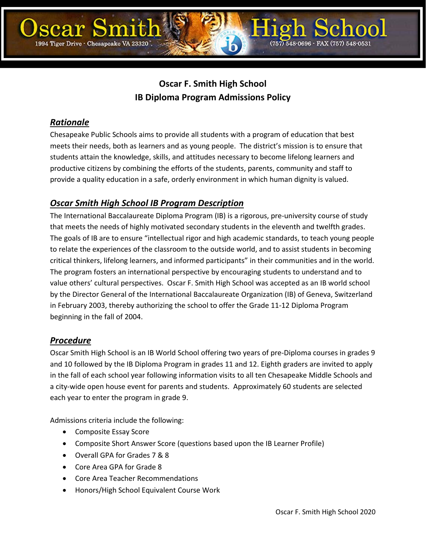# **Oscar F. Smith High School IB Diploma Program Admissions Policy**

## *Rationale*

Chesapeake Public Schools aims to provide all students with a program of education that best meets their needs, both as learners and as young people. The district's mission is to ensure that students attain the knowledge, skills, and attitudes necessary to become lifelong learners and productive citizens by combining the efforts of the students, parents, community and staff to provide a quality education in a safe, orderly environment in which human dignity is valued.

# *Oscar Smith High School IB Program Description*

The International Baccalaureate Diploma Program (IB) is a rigorous, pre-university course of study that meets the needs of highly motivated secondary students in the eleventh and twelfth grades. The goals of IB are to ensure "intellectual rigor and high academic standards, to teach young people to relate the experiences of the classroom to the outside world, and to assist students in becoming critical thinkers, lifelong learners, and informed participants" in their communities and in the world. The program fosters an international perspective by encouraging students to understand and to value others' cultural perspectives. Oscar F. Smith High School was accepted as an IB world school by the Director General of the International Baccalaureate Organization (IB) of Geneva, Switzerland in February 2003, thereby authorizing the school to offer the Grade 11-12 Diploma Program beginning in the fall of 2004.

## *Procedure*

Oscar Smith High School is an IB World School offering two years of pre-Diploma courses in grades 9 and 10 followed by the IB Diploma Program in grades 11 and 12. Eighth graders are invited to apply in the fall of each school year following information visits to all ten Chesapeake Middle Schools and a city-wide open house event for parents and students. Approximately 60 students are selected each year to enter the program in grade 9.

Admissions criteria include the following:

- Composite Essay Score
- Composite Short Answer Score (questions based upon the IB Learner Profile)
- Overall GPA for Grades 7 & 8
- Core Area GPA for Grade 8
- Core Area Teacher Recommendations
- Honors/High School Equivalent Course Work